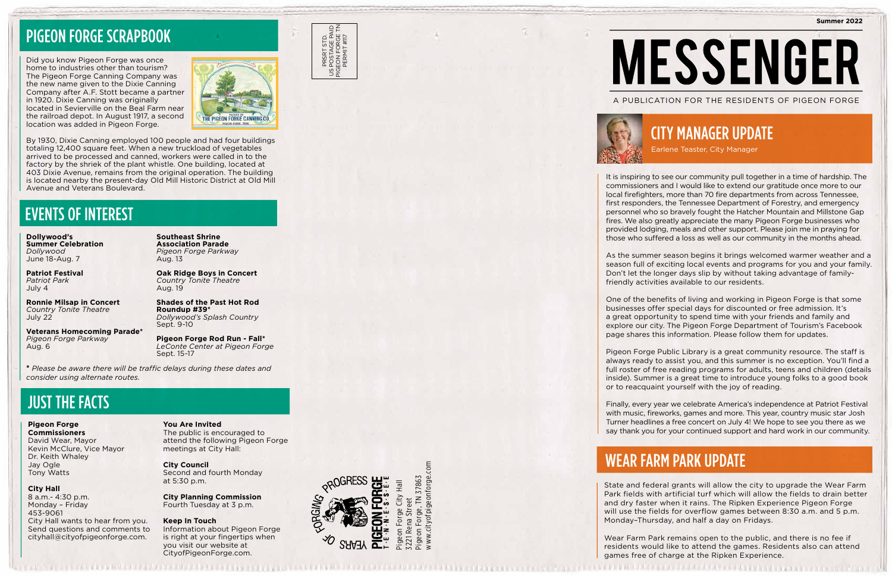

www.cityofpigeonforge.com 37863 Pigeon Forge, TN 37863 ww.cityofpig Pigeon





**Summer 2022 MESSENGER** A PUBLICATION FOR THE RESIDENTS OF PIGEON FORGE

PRSRT STD. US POSTAGE PAID PIGEON FORGE TN PERMIT #117

PRSRT STD.<br>POSTAGE PAID<br>EON FORGE TN<br>PERMIT #117

It is inspiring to see our community pull together in a time of hardship. The commissioners and I would like to extend our gratitude once more to our local firefighters, more than 70 fire departments from across Tennessee, first responders, the Tennessee Department of Forestry, and emergency personnel who so bravely fought the Hatcher Mountain and Millstone Gap fires. We also greatly appreciate the many Pigeon Forge businesses who provided lodging, meals and other support. Please join me in praying for those who suffered a loss as well as our community in the months ahead.

As the summer season begins it brings welcomed warmer weather and a season full of exciting local events and programs for you and your family. Don't let the longer days slip by without taking advantage of familyfriendly activities available to our residents.

One of the benefits of living and working in Pigeon Forge is that some businesses offer special days for discounted or free admission. It's a great opportunity to spend time with your friends and family and explore our city. The Pigeon Forge Department of Tourism's Facebook page shares this information. Please follow them for updates.

Pigeon Forge Public Library is a great community resource. The staff is always ready to assist you, and this summer is no exception. You'll find a full roster of free reading programs for adults, teens and children (details inside). Summer is a great time to introduce young folks to a good book or to reacquaint yourself with the joy of reading.

Finally, every year we celebrate America's independence at Patriot Festival with music, fireworks, games and more. This year, country music star Josh Turner headlines a free concert on July 4! We hope to see you there as we say thank you for your continued support and hard work in our community.

# CITY MANAGER UPDATE

Earlene Teaster, City Manager

# WEAR FARM PARK UPDATE

State and federal grants will allow the city to upgrade the Wear Farm Park fields with artificial turf which will allow the fields to drain better and dry faster when it rains. The Ripken Experience Pigeon Forge will use the fields for overflow games between 8:30 a.m. and 5 p.m. Monday–Thursday, and half a day on Fridays.

Wear Farm Park remains open to the public, and there is no fee if residents would like to attend the games. Residents also can attend games free of charge at the Ripken Experience.

### EVENTS OF INTEREST

**Dollywood's Summer Celebration**  *Dollywood* June 18-Aug. 7

**Patriot Festival**  *Patriot Park*  July 4

**Ronnie Milsap in Concert**  *Country Tonite Theatre* July 22

**Veterans Homecoming Parade\*** *Pigeon Forge Parkway*  Aug. 6

**Southeast Shrine Association Parade**  *Pigeon Forge Parkway*  Aug. 13

**Oak Ridge Boys in Concert**  *Country Tonite Theatre*  Aug. 19

**Shades of the Past Hot Rod Roundup #39\***  *Dollywood's Splash Country*  Sept. 9-10

**Pigeon Forge Rod Run - Fall\***  *LeConte Center at Pigeon Forge*  Sept. 15-17

**\*** *Please be aware there will be traffic delays during these dates and consider using alternate routes.*

## JUST THE FACTS

**Pigeon Forge Commissioners** David Wear, Mayor Kevin McClure, Vice Mayor Dr. Keith Whaley Jay Ogle Tony Watts

### **City Hall** 8 a.m.- 4:30 p.m. Monday – Friday 453-9061 City Hall wants to hear from you. Send questions and comments to cityhall@cityofpigeonforge.com.

**You Are Invited**

The public is encouraged to attend the following Pigeon Forge meetings at City Hall:

**City Council**  Second and fourth Monday at 5:30 p.m.

**City Planning Commission**  Fourth Tuesday at 3 p.m.

### **Keep In Touch**

Information about Pigeon Forge is right at your fingertips when you visit our website at CityofPigeonForge.com.

## PIGEON FORGE SCRAPBOOK

Did you know Pigeon Forge was once home to industries other than tourism? The Pigeon Forge Canning Company was the new name given to the Dixie Canning Company after A.F. Stott became a partner in 1920. Dixie Canning was originally located in Sevierville on the Beal Farm near the railroad depot. In August 1917, a second location was added in Pigeon Forge.



By 1930, Dixie Canning employed 100 people and had four buildings totaling 12,400 square feet. When a new truckload of vegetables arrived to be processed and canned, workers were called in to the factory by the shriek of the plant whistle. One building, located at 403 Dixie Avenue, remains from the original operation. The building is located nearby the present-day Old Mill Historic District at Old Mill Avenue and Veterans Boulevard.